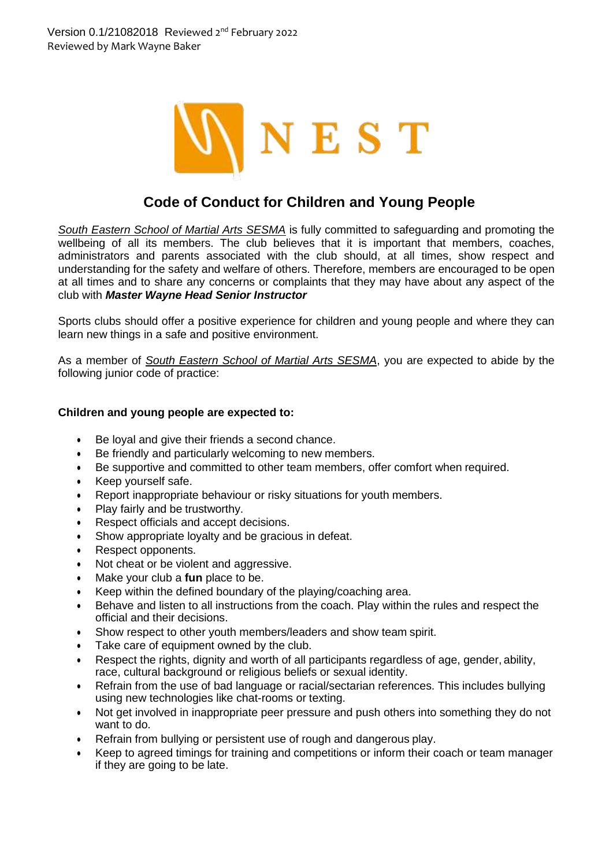

## **Code of Conduct for Children and Young People**

*South Eastern School of Martial Arts SESMA* is fully committed to safeguarding and promoting the wellbeing of all its members. The club believes that it is important that members, coaches, administrators and parents associated with the club should, at all times, show respect and understanding for the safety and welfare of others. Therefore, members are encouraged to be open at all times and to share any concerns or complaints that they may have about any aspect of the club with *Master Wayne Head Senior Instructor*

Sports clubs should offer a positive experience for children and young people and where they can learn new things in a safe and positive environment.

As a member of *South Eastern School of Martial Arts SESMA*, you are expected to abide by the following junior code of practice:

## **Children and young people are expected to:**

- Be loyal and give their friends a second chance.
- Be friendly and particularly welcoming to new members.
- Be supportive and committed to other team members, offer comfort when required.
- Keep yourself safe.
- Report inappropriate behaviour or risky situations for youth members.
- Play fairly and be trustworthy.
- Respect officials and accept decisions.
- Show appropriate loyalty and be gracious in defeat.
- Respect opponents.
- Not cheat or be violent and aggressive.
- Make your club a **fun** place to be.
- Keep within the defined boundary of the playing/coaching area.
- Behave and listen to all instructions from the coach. Play within the rules and respect the official and their decisions.
- Show respect to other youth members/leaders and show team spirit.
- Take care of equipment owned by the club.
- Respect the rights, dignity and worth of all participants regardless of age, gender, ability, race, cultural background or religious beliefs or sexual identity.
- Refrain from the use of bad language or racial/sectarian references. This includes bullying using new technologies like chat-rooms or texting.
- Not get involved in inappropriate peer pressure and push others into something they do not want to do.
- Refrain from bullying or persistent use of rough and dangerous play.
- Keep to agreed timings for training and competitions or inform their coach or team manager if they are going to be late.